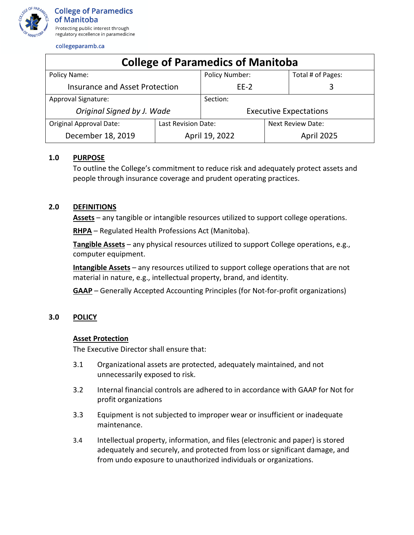

collegeparamb.ca

| <b>College of Paramedics of Manitoba</b> |                     |                               |                          |                   |
|------------------------------------------|---------------------|-------------------------------|--------------------------|-------------------|
| Policy Name:                             |                     | <b>Policy Number:</b>         |                          | Total # of Pages: |
| <b>Insurance and Asset Protection</b>    |                     | $EE-2$                        |                          | 3                 |
| Approval Signature:                      |                     | Section:                      |                          |                   |
| Original Signed by J. Wade               |                     | <b>Executive Expectations</b> |                          |                   |
| <b>Original Approval Date:</b>           | Last Revision Date: |                               | <b>Next Review Date:</b> |                   |
| December 18, 2019                        | April 19, 2022      |                               | April 2025               |                   |

# **1.0 PURPOSE**

To outline the College's commitment to reduce risk and adequately protect assets and people through insurance coverage and prudent operating practices.

# **2.0 DEFINITIONS**

**Assets** – any tangible or intangible resources utilized to support college operations.

**RHPA** – Regulated Health Professions Act (Manitoba).

**Tangible Assets** – any physical resources utilized to support College operations, e.g., computer equipment.

**Intangible Assets** – any resources utilized to support college operations that are not material in nature, e.g., intellectual property, brand, and identity.

**GAAP** – Generally Accepted Accounting Principles (for Not-for-profit organizations)

# **3.0 POLICY**

### **Asset Protection**

The Executive Director shall ensure that:

- 3.1 Organizational assets are protected, adequately maintained, and not unnecessarily exposed to risk.
- 3.2 Internal financial controls are adhered to in accordance with GAAP for Not for profit organizations
- 3.3 Equipment is not subjected to improper wear or insufficient or inadequate maintenance.
- 3.4 Intellectual property, information, and files (electronic and paper) is stored adequately and securely, and protected from loss or significant damage, and from undo exposure to unauthorized individuals or organizations.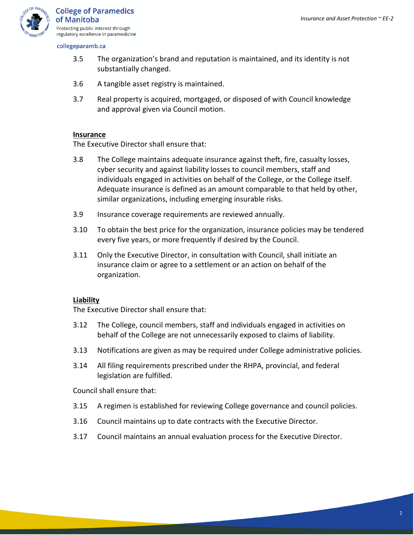

collegeparamb.ca

- 3.5 The organization's brand and reputation is maintained, and its identity is not substantially changed.
- 3.6 A tangible asset registry is maintained.
- 3.7 Real property is acquired, mortgaged, or disposed of with Council knowledge and approval given via Council motion.

# **Insurance**

The Executive Director shall ensure that:

- 3.8 The College maintains adequate insurance against theft, fire, casualty losses, cyber security and against liability losses to council members, staff and individuals engaged in activities on behalf of the College, or the College itself. Adequate insurance is defined as an amount comparable to that held by other, similar organizations, including emerging insurable risks.
- 3.9 Insurance coverage requirements are reviewed annually.
- 3.10 To obtain the best price for the organization, insurance policies may be tendered every five years, or more frequently if desired by the Council.
- 3.11 Only the Executive Director, in consultation with Council, shall initiate an insurance claim or agree to a settlement or an action on behalf of the organization.

# **Liability**

The Executive Director shall ensure that:

- 3.12 The College, council members, staff and individuals engaged in activities on behalf of the College are not unnecessarily exposed to claims of liability.
- 3.13 Notifications are given as may be required under College administrative policies.
- 3.14 All filing requirements prescribed under the RHPA, provincial, and federal legislation are fulfilled.

Council shall ensure that:

- 3.15 A regimen is established for reviewing College governance and council policies.
- 3.16 Council maintains up to date contracts with the Executive Director.
- 3.17 Council maintains an annual evaluation process for the Executive Director.